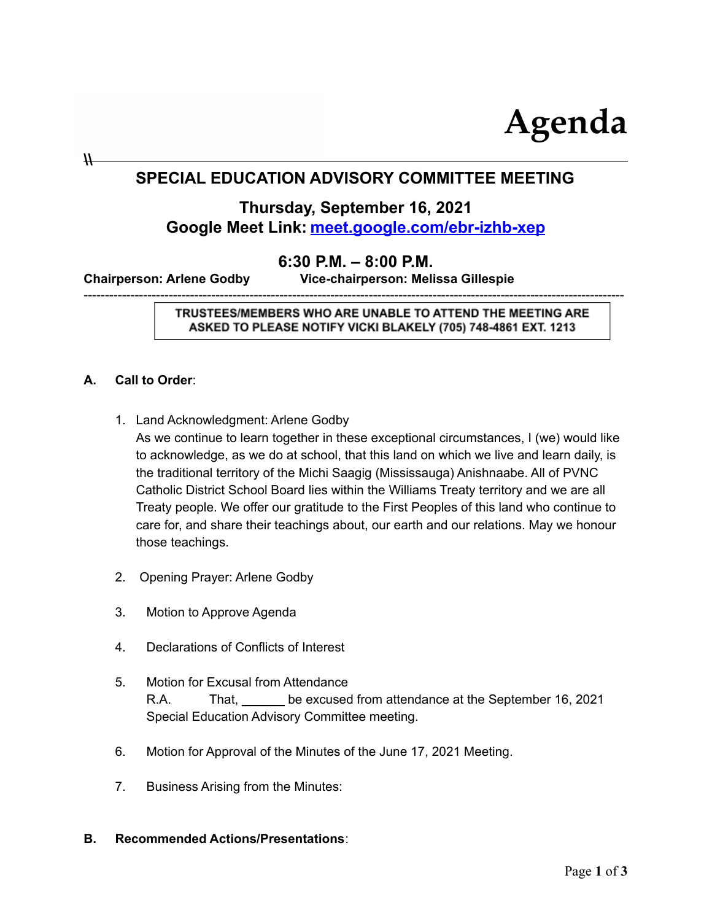

# **SPECIAL EDUCATION ADVISORY COMMITTEE MEETING**

## **Thursday, September 16, 2021 Google Meet Link: [meet.google.com/ebr-izhb-xep](http://meet.google.com/ebr-izhb-xep)**

## **6:30 P.M. – 8:00 P.M.**

-------------------------------------------------------------------------------------------------------------------------------

**Chairperson: Arlene Godby Vice-chairperson: Melissa Gillespie**

TRUSTEES/MEMBERS WHO ARE UNABLE TO ATTEND THE MEETING ARE ASKED TO PLEASE NOTIFY VICKI BLAKELY (705) 748-4861 EXT. 1213

#### **A. Call to Order**:

**\\**

- 1. Land Acknowledgment: Arlene Godby As we continue to learn together in these exceptional circumstances, I (we) would like to acknowledge, as we do at school, that this land on which we live and learn daily, is the traditional territory of the Michi Saagig (Mississauga) Anishnaabe. All of PVNC Catholic District School Board lies within the Williams Treaty territory and we are all Treaty people. We offer our gratitude to the First Peoples of this land who continue to care for, and share their teachings about, our earth and our relations. May we honour those teachings.
- 2. Opening Prayer: Arlene Godby
- 3. Motion to Approve Agenda
- 4. Declarations of Conflicts of Interest
- 5. Motion for Excusal from Attendance R.A. That, be excused from attendance at the September 16, 2021 Special Education Advisory Committee meeting.
- 6. Motion for Approval of the Minutes of the June 17, 2021 Meeting.
- 7. Business Arising from the Minutes:

#### **B. Recommended Actions/Presentations**: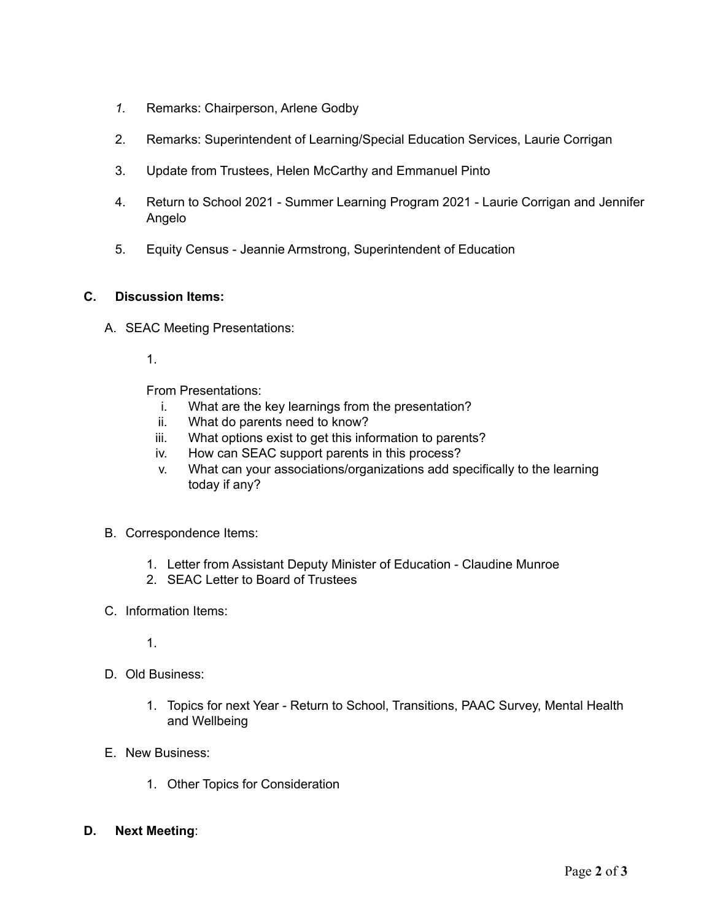- *1.* Remarks: Chairperson, Arlene Godby
- 2. Remarks: Superintendent of Learning/Special Education Services, Laurie Corrigan
- 3. Update from Trustees, Helen McCarthy and Emmanuel Pinto
- 4. Return to School 2021 Summer Learning Program 2021 Laurie Corrigan and Jennifer Angelo
- 5. Equity Census Jeannie Armstrong, Superintendent of Education

### **C. Discussion Items:**

- A. SEAC Meeting Presentations:
	- 1.

From Presentations:

- i. What are the key learnings from the presentation?
- ii. What do parents need to know?
- iii. What options exist to get this information to parents?
- iv. How can SEAC support parents in this process?
- v. What can your associations/organizations add specifically to the learning today if any?
- B. Correspondence Items:
	- 1. Letter from Assistant Deputy Minister of Education Claudine Munroe
	- 2. SEAC Letter to Board of Trustees
- C. Information Items:
	- 1.
- D. Old Business:
	- 1. Topics for next Year Return to School, Transitions, PAAC Survey, Mental Health and Wellbeing
- E. New Business:
	- 1. Other Topics for Consideration
- **D. Next Meeting**: